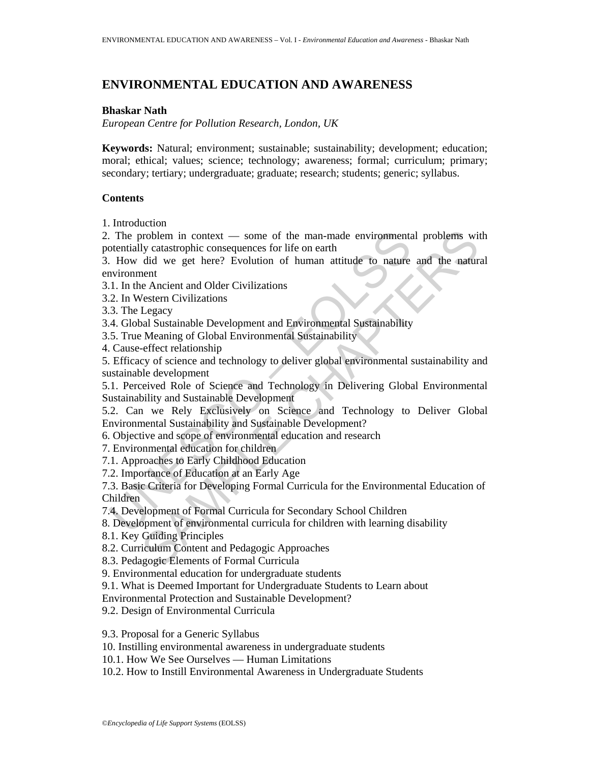# **ENVIRONMENTAL EDUCATION AND AWARENESS**

### **Bhaskar Nath**

*European Centre for Pollution Research, London, UK*

**Keywords:** Natural; environment; sustainable; sustainability; development; education; moral; ethical; values; science; technology; awareness; formal; curriculum; primary; secondary; tertiary; undergraduate; graduate; research; students; generic; syllabus.

## **Contents**

1. Introduction

2. The problem in context — some of the man-made environmental problems with potentially catastrophic consequences for life on earth

3. How did we get here? Evolution of human attitude to nature and the natural environment

3.1. In the Ancient and Older Civilizations

3.2. In Western Civilizations

3.3. The Legacy

3.4. Global Sustainable Development and Environmental Sustainability

3.5. True Meaning of Global Environmental Sustainability

4. Cause-effect relationship

The problem in context — some of the man-made environment<br>
Intentially catastrophic consequences for life on earth<br>
How did we get here? Evolution of human attitude to nature<br>
How did we get here? Evolution of human attitu problem in context — some of the man-made environmental problems with y catastrophic consequences for life on earth<br>
did we get here? Evolution of human attitude to nature and the natural<br>
eth<br>
did we get here? Evolution o 5. Efficacy of science and technology to deliver global environmental sustainability and sustainable development

5.1. Perceived Role of Science and Technology in Delivering Global Environmental Sustainability and Sustainable Development

5.2. Can we Rely Exclusively on Science and Technology to Deliver Global Environmental Sustainability and Sustainable Development?

6. Objective and scope of environmental education and research

7. Environmental education for children

7.1. Approaches to Early Childhood Education

7.2. Importance of Education at an Early Age

7.3. Basic Criteria for Developing Formal Curricula for the Environmental Education of Children

7.4. Development of Formal Curricula for Secondary School Children

8. Development of environmental curricula for children with learning disability

8.1. Key Guiding Principles

8.2. Curriculum Content and Pedagogic Approaches

8.3. Pedagogic Elements of Formal Curricula

9. Environmental education for undergraduate students

9.1. What is Deemed Important for Undergraduate Students to Learn about

Environmental Protection and Sustainable Development?

9.2. Design of Environmental Curricula

9.3. Proposal for a Generic Syllabus

10. Instilling environmental awareness in undergraduate students

10.1. How We See Ourselves — Human Limitations

10.2. How to Instill Environmental Awareness in Undergraduate Students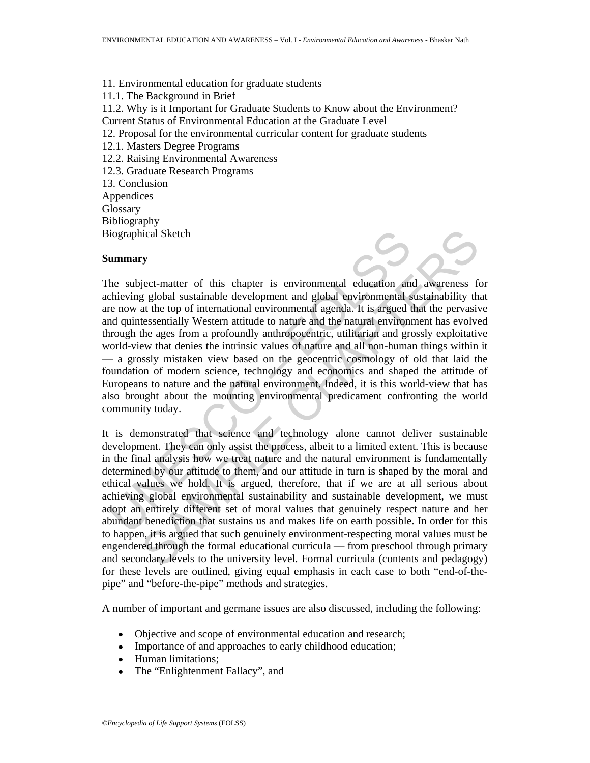11. Environmental education for graduate students 11.1. The Background in Brief 11.2. Why is it Important for Graduate Students to Know about the Environment? Current Status of Environmental Education at the Graduate Level 12. Proposal for the environmental curricular content for graduate students 12.1. Masters Degree Programs 12.2. Raising Environmental Awareness 12.3. Graduate Research Programs 13. Conclusion Appendices **Glossary** Bibliography

#### **Summary**

Biographical Sketch



iographical Sketch<br>
ummary<br>
he subject-matter of this chapter is environmental education am<br>
heiving global sustainable development and global environmental s<br>
re now at the top of international environmental agenda. It is The subject-matter of this chapter is environmental education and awareness for achieving global sustainable development and global environmental sustainability that are now at the top of international environmental agenda. It is argued that the pervasive and quintessentially Western attitude to nature and the natural environment has evolved through the ages from a profoundly anthropocentric, utilitarian and grossly exploitative world-view that denies the intrinsic values of nature and all non-human things within it — a grossly mistaken view based on the geocentric cosmology of old that laid the foundation of modern science, technology and economics and shaped the attitude of Europeans to nature and the natural environment. Indeed, it is this world-view that has also brought about the mounting environmental predicament confronting the world community today.

ical Sketch<br>
Significant of this chapter is environmental education and awareness for<br>
gelobal sustainable development and global environmental sustainability that<br>
the top of international environmental agenda. It is argu It is demonstrated that science and technology alone cannot deliver sustainable development. They can only assist the process, albeit to a limited extent. This is because in the final analysis how we treat nature and the natural environment is fundamentally determined by our attitude to them, and our attitude in turn is shaped by the moral and ethical values we hold. It is argued, therefore, that if we are at all serious about achieving global environmental sustainability and sustainable development, we must adopt an entirely different set of moral values that genuinely respect nature and her abundant benediction that sustains us and makes life on earth possible. In order for this to happen, it is argued that such genuinely environment-respecting moral values must be engendered through the formal educational curricula — from preschool through primary and secondary levels to the university level. Formal curricula (contents and pedagogy) for these levels are outlined, giving equal emphasis in each case to both "end-of-thepipe" and "before-the-pipe" methods and strategies.

A number of important and germane issues are also discussed, including the following:

- Objective and scope of environmental education and research;
- Importance of and approaches to early childhood education;
- Human limitations;
- The "Enlightenment Fallacy", and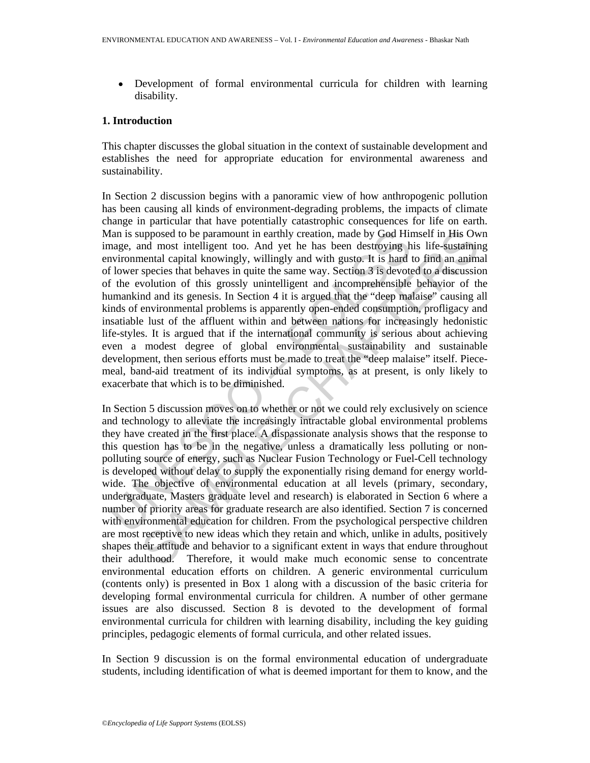• Development of formal environmental curricula for children with learning disability.

### **1. Introduction**

This chapter discusses the global situation in the context of sustainable development and establishes the need for appropriate education for environmental awareness and sustainability.

Ian is supposed to be paramount in earthly creation, made by God Hirage, and most intelligent too. And yet he has been destroying have included incovingly, willingly and with gusto. It is hard I convers pecies that behaves In Section 2 discussion begins with a panoramic view of how anthropogenic pollution has been causing all kinds of environment-degrading problems, the impacts of climate change in particular that have potentially catastrophic consequences for life on earth. Man is supposed to be paramount in earthly creation, made by God Himself in His Own image, and most intelligent too. And yet he has been destroying his life-sustaining environmental capital knowingly, willingly and with gusto. It is hard to find an animal of lower species that behaves in quite the same way. Section 3 is devoted to a discussion of the evolution of this grossly unintelligent and incomprehensible behavior of the humankind and its genesis. In Section 4 it is argued that the "deep malaise" causing all kinds of environmental problems is apparently open-ended consumption, profligacy and insatiable lust of the affluent within and between nations for increasingly hedonistic life-styles. It is argued that if the international community is serious about achieving even a modest degree of global environmental sustainability and sustainable development, then serious efforts must be made to treat the "deep malaise" itself. Piecemeal, band-aid treatment of its individual symptoms, as at present, is only likely to exacerbate that which is to be diminished.

upposed to be paramount in earthly creation, made by God Himself in His Ow<br>and most intelligent too. And yet the has been destroying his life-sustaining<br>nental capital knowingly, willingly and with gusto. It is hard to fin In Section 5 discussion moves on to whether or not we could rely exclusively on science and technology to alleviate the increasingly intractable global environmental problems they have created in the first place. A dispassionate analysis shows that the response to this question has to be in the negative, unless a dramatically less polluting or nonpolluting source of energy, such as Nuclear Fusion Technology or Fuel-Cell technology is developed without delay to supply the exponentially rising demand for energy worldwide. The objective of environmental education at all levels (primary, secondary, undergraduate, Masters graduate level and research) is elaborated in Section 6 where a number of priority areas for graduate research are also identified. Section 7 is concerned with environmental education for children. From the psychological perspective children are most receptive to new ideas which they retain and which, unlike in adults, positively shapes their attitude and behavior to a significant extent in ways that endure throughout their adulthood. Therefore, it would make much economic sense to concentrate environmental education efforts on children. A generic environmental curriculum (contents only) is presented in Box 1 along with a discussion of the basic criteria for developing formal environmental curricula for children. A number of other germane issues are also discussed. Section 8 is devoted to the development of formal environmental curricula for children with learning disability, including the key guiding principles, pedagogic elements of formal curricula, and other related issues.

In Section 9 discussion is on the formal environmental education of undergraduate students, including identification of what is deemed important for them to know, and the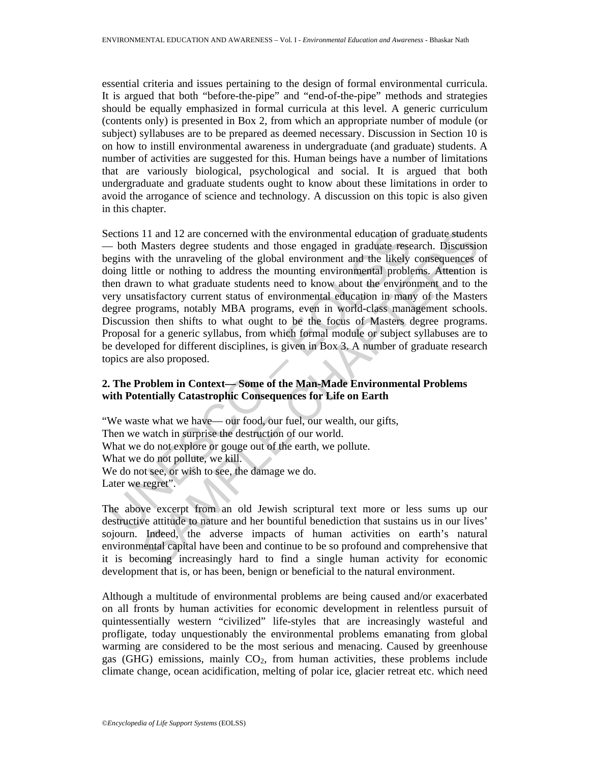essential criteria and issues pertaining to the design of formal environmental curricula. It is argued that both "before-the-pipe" and "end-of-the-pipe" methods and strategies should be equally emphasized in formal curricula at this level. A generic curriculum (contents only) is presented in Box 2, from which an appropriate number of module (or subject) syllabuses are to be prepared as deemed necessary. Discussion in Section 10 is on how to instill environmental awareness in undergraduate (and graduate) students. A number of activities are suggested for this. Human beings have a number of limitations that are variously biological, psychological and social. It is argued that both undergraduate and graduate students ought to know about these limitations in order to avoid the arrogance of science and technology. A discussion on this topic is also given in this chapter.

ections 11 and 12 are concerned with the environmental education of j<br>- both Masters degree students and those engaged in graduate reses<br>gins with the unraveling of the global environment and the likely<br>oing little or noth 11 and 12 are concerned with the environmental education of graduate studen<br>Masters degree studens and those engaged in graduate research. Discussion<br>tith the unraveling of the global environment and the likely consequence Sections 11 and 12 are concerned with the environmental education of graduate students — both Masters degree students and those engaged in graduate research. Discussion begins with the unraveling of the global environment and the likely consequences of doing little or nothing to address the mounting environmental problems. Attention is then drawn to what graduate students need to know about the environment and to the very unsatisfactory current status of environmental education in many of the Masters degree programs, notably MBA programs, even in world-class management schools. Discussion then shifts to what ought to be the focus of Masters degree programs. Proposal for a generic syllabus, from which formal module or subject syllabuses are to be developed for different disciplines, is given in Box 3. A number of graduate research topics are also proposed.

## **2. The Problem in Context— Some of the Man-Made Environmental Problems with Potentially Catastrophic Consequences for Life on Earth**

"We waste what we have— our food, our fuel, our wealth, our gifts, Then we watch in surprise the destruction of our world. What we do not explore or gouge out of the earth, we pollute. What we do not pollute, we kill. We do not see, or wish to see, the damage we do. Later we regret".

The above excerpt from an old Jewish scriptural text more or less sums up our destructive attitude to nature and her bountiful benediction that sustains us in our lives' sojourn. Indeed, the adverse impacts of human activities on earth's natural environmental capital have been and continue to be so profound and comprehensive that it is becoming increasingly hard to find a single human activity for economic development that is, or has been, benign or beneficial to the natural environment.

Although a multitude of environmental problems are being caused and/or exacerbated on all fronts by human activities for economic development in relentless pursuit of quintessentially western "civilized" life-styles that are increasingly wasteful and profligate, today unquestionably the environmental problems emanating from global warming are considered to be the most serious and menacing. Caused by greenhouse gas (GHG) emissions, mainly  $CO<sub>2</sub>$ , from human activities, these problems include climate change, ocean acidification, melting of polar ice, glacier retreat etc. which need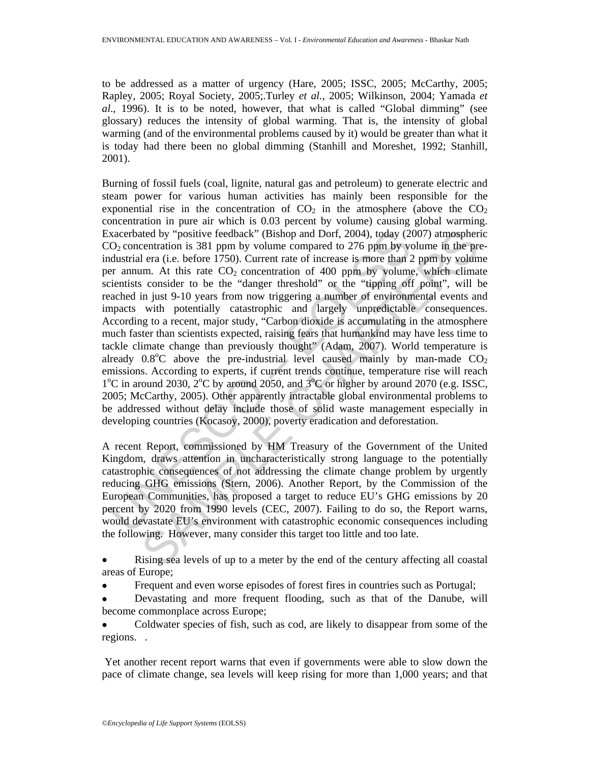to be addressed as a matter of urgency (Hare, 2005; ISSC, 2005; McCarthy, 2005; Rapley, 2005; Royal Society, 2005;.Turley *et al.*, 2005; Wilkinson, 2004; Yamada *et al*., 1996). It is to be noted, however, that what is called "Global dimming" (see glossary) reduces the intensity of global warming. That is, the intensity of global warming (and of the environmental problems caused by it) would be greater than what it is today had there been no global dimming (Stanhill and Moreshet, 1992; Stanhill, 2001).

xacerbated by "positive feedback" (Bishop and Dorf, 2004), today (20<br>O<sub>2</sub> concentration is 381 ppm by volume compared to 276 ppm by volums<br>dustrial era (i.e. before 1750). Current rate of increase is more than<br>2 cramm. At ticel by "positive feedback" (Bishop and Dorf, 2004), today (2007) atmospherication is 381 ppm by volume compared to 276 ppm by volume in the pre-<br>centration is 381 ppm by volume compared to 276 ppm by volume. The pre-<br>m. Burning of fossil fuels (coal, lignite, natural gas and petroleum) to generate electric and steam power for various human activities has mainly been responsible for the exponential rise in the concentration of  $CO<sub>2</sub>$  in the atmosphere (above the  $CO<sub>2</sub>$ ) concentration in pure air which is 0.03 percent by volume) causing global warming. Exacerbated by "positive feedback" (Bishop and Dorf, 2004), today (2007) atmospheric  $CO<sub>2</sub>$  concentration is 381 ppm by volume compared to 276 ppm by volume in the preindustrial era (i.e. before 1750). Current rate of increase is more than 2 ppm by volume per annum. At this rate  $CO<sub>2</sub>$  concentration of 400 ppm by volume, which climate scientists consider to be the "danger threshold" or the "tipping off point", will be reached in just 9-10 years from now triggering a number of environmental events and impacts with potentially catastrophic and largely unpredictable consequences. According to a recent, major study, "Carbon dioxide is accumulating in the atmosphere much faster than scientists expected, raising fears that humankind may have less time to tackle climate change than previously thought" (Adam, 2007). World temperature is already  $0.8^{\circ}$ C above the pre-industrial level caused mainly by man-made  $CO<sub>2</sub>$ emissions. According to experts, if current trends continue, temperature rise will reach  $1^{\circ}$ C in around 2030,  $2^{\circ}$ C by around 2050, and  $3^{\circ}$ C or higher by around 2070 (e.g. ISSC, 2005; McCarthy, 2005). Other apparently intractable global environmental problems to be addressed without delay include those of solid waste management especially in developing countries (Kocasoy, 2000), poverty eradication and deforestation.

A recent Report, commissioned by HM Treasury of the Government of the United Kingdom, draws attention in uncharacteristically strong language to the potentially catastrophic consequences of not addressing the climate change problem by urgently reducing GHG emissions (Stern, 2006). Another Report, by the Commission of the European Communities, has proposed a target to reduce EU's GHG emissions by 20 percent by 2020 from 1990 levels (CEC, 2007). Failing to do so, the Report warns, would devastate EU's environment with catastrophic economic consequences including the following. However, many consider this target too little and too late.

• Rising sea levels of up to a meter by the end of the century affecting all coastal areas of Europe;

• Frequent and even worse episodes of forest fires in countries such as Portugal;

• Devastating and more frequent flooding, such as that of the Danube, will become commonplace across Europe;

• Coldwater species of fish, such as cod, are likely to disappear from some of the regions. .

 Yet another recent report warns that even if governments were able to slow down the pace of climate change, sea levels will keep rising for more than 1,000 years; and that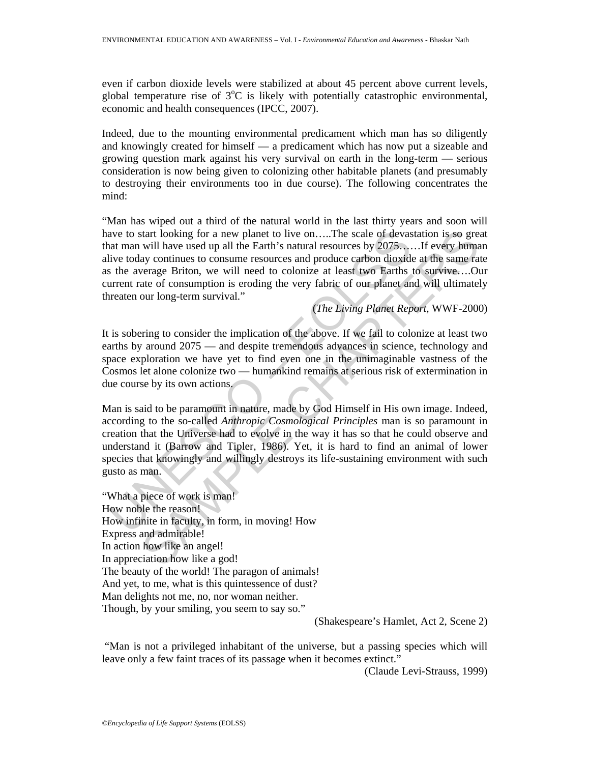even if carbon dioxide levels were stabilized at about 45 percent above current levels, global temperature rise of  $3^{\circ}C$  is likely with potentially catastrophic environmental, economic and health consequences (IPCC, 2007).

Indeed, due to the mounting environmental predicament which man has so diligently and knowingly created for himself — a predicament which has now put a sizeable and growing question mark against his very survival on earth in the long-term — serious consideration is now being given to colonizing other habitable planets (and presumably to destroying their environments too in due course). The following concentrates the mind:

"Man has wiped out a third of the natural world in the last thirty years and soon will have to start looking for a new planet to live on.....The scale of devastation is so great that man will have used up all the Earth's natural resources by 2075……If every human alive today continues to consume resources and produce carbon dioxide at the same rate as the average Briton, we will need to colonize at least two Earths to survive….Our current rate of consumption is eroding the very fabric of our planet and will ultimately threaten our long-term survival."

(*The Living Planet Report,* WWF-2000)

It is sobering to consider the implication of the above. If we fail to colonize at least two earths by around 2075 — and despite tremendous advances in science, technology and space exploration we have yet to find even one in the unimaginable vastness of the Cosmos let alone colonize two — humankind remains at serious risk of extermination in due course by its own actions.

and many ill have used up all the Earth's natural resources by 2075....<br>In scale of devastat man will have used up all the Earth's natural resources by 2075...<br>ive today continues to consume resources and produce carbon di start looking for a new planet to live on.....The scale of devastation is so gree will have used up all the Earth's natural resources by 2075.....If every harmace sup and incominate or any continues to consume resources an Man is said to be paramount in nature, made by God Himself in His own image. Indeed, according to the so-called *Anthropic Cosmological Principles* man is so paramount in creation that the Universe had to evolve in the way it has so that he could observe and understand it (Barrow and Tipler, 1986). Yet, it is hard to find an animal of lower species that knowingly and willingly destroys its life-sustaining environment with such gusto as man.

"What a piece of work is man! How noble the reason! How infinite in faculty, in form, in moving! How Express and admirable! In action how like an angel! In appreciation how like a god! The beauty of the world! The paragon of animals! And yet, to me, what is this quintessence of dust? Man delights not me, no, nor woman neither. Though, by your smiling, you seem to say so."

(Shakespeare's Hamlet, Act 2, Scene 2)

 "Man is not a privileged inhabitant of the universe, but a passing species which will leave only a few faint traces of its passage when it becomes extinct."

(Claude Levi-Strauss, 1999)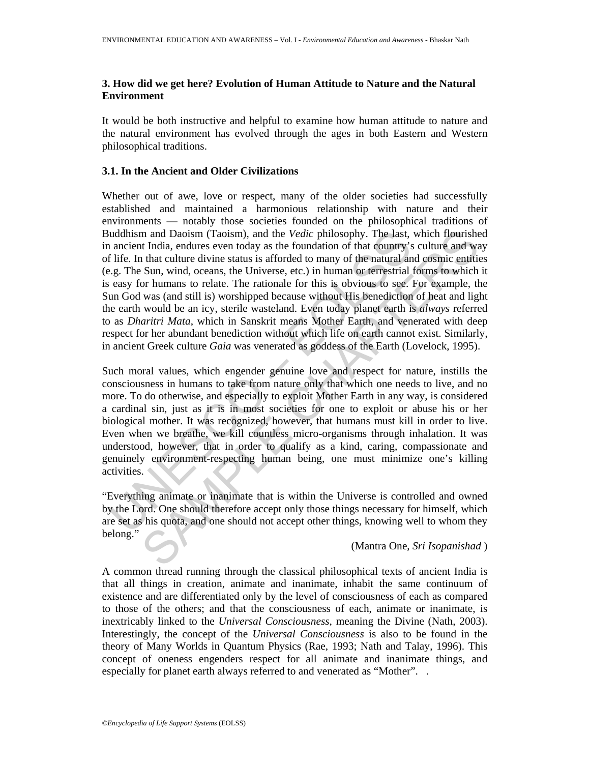## **3. How did we get here? Evolution of Human Attitude to Nature and the Natural Environment**

It would be both instructive and helpful to examine how human attitude to nature and the natural environment has evolved through the ages in both Eastern and Western philosophical traditions.

### **3.1. In the Ancient and Older Civilizations**

uddhism and Daoism (Taoism), and the *Vedic* philosophy. The last, a ncient India, endures even today as the foundation of that country's life. In that culture divine status is afforded to many of the natural amomy is e.g. m and Daoism (Taoism), and the *Vedic* philosophy. The last, which flourishe<br>th India, enduces even today as the foundation of that country's culture and was the fluid, and the taulture divies that culture divies to that Whether out of awe, love or respect, many of the older societies had successfully established and maintained a harmonious relationship with nature and their environments — notably those societies founded on the philosophical traditions of Buddhism and Daoism (Taoism), and the *Vedic* philosophy. The last, which flourished in ancient India, endures even today as the foundation of that country's culture and way of life. In that culture divine status is afforded to many of the natural and cosmic entities (e.g. The Sun, wind, oceans, the Universe, etc.) in human or terrestrial forms to which it is easy for humans to relate. The rationale for this is obvious to see. For example, the Sun God was (and still is) worshipped because without His benediction of heat and light the earth would be an icy, sterile wasteland. Even today planet earth is *always* referred to as *Dharitri Mata*, which in Sanskrit means Mother Earth, and venerated with deep respect for her abundant benediction without which life on earth cannot exist. Similarly, in ancient Greek culture *Gaia* was venerated as goddess of the Earth (Lovelock, 1995).

Such moral values, which engender genuine love and respect for nature, instills the consciousness in humans to take from nature only that which one needs to live, and no more. To do otherwise, and especially to exploit Mother Earth in any way, is considered a cardinal sin, just as it is in most societies for one to exploit or abuse his or her biological mother. It was recognized, however, that humans must kill in order to live. Even when we breathe, we kill countless micro-organisms through inhalation. It was understood, however, that in order to qualify as a kind, caring, compassionate and genuinely environment-respecting human being, one must minimize one's killing activities.

"Everything animate or inanimate that is within the Universe is controlled and owned by the Lord. One should therefore accept only those things necessary for himself, which are set as his quota, and one should not accept other things, knowing well to whom they belong."

(Mantra One, *Sri Isopanishad* )

A common thread running through the classical philosophical texts of ancient India is that all things in creation, animate and inanimate, inhabit the same continuum of existence and are differentiated only by the level of consciousness of each as compared to those of the others; and that the consciousness of each, animate or inanimate, is inextricably linked to the *Universal Consciousness*, meaning the Divine (Nath, 2003). Interestingly, the concept of the *Universal Consciousness* is also to be found in the theory of Many Worlds in Quantum Physics (Rae, 1993; Nath and Talay, 1996). This concept of oneness engenders respect for all animate and inanimate things, and especially for planet earth always referred to and venerated as "Mother". .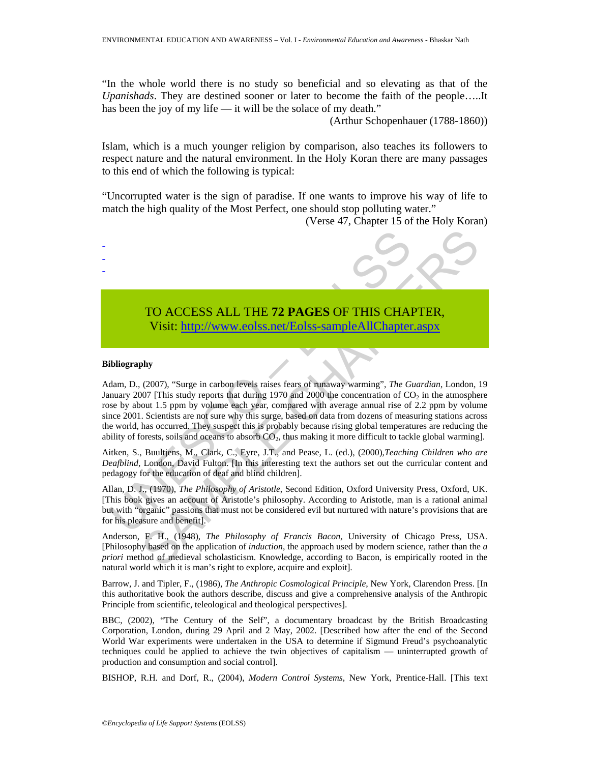"In the whole world there is no study so beneficial and so elevating as that of the *Upanishads*. They are destined sooner or later to become the faith of the people…..It has been the joy of my life — it will be the solace of my death."

(Arthur Schopenhauer (1788-1860))

Islam, which is a much younger religion by comparison, also teaches its followers to respect nature and the natural environment. In the Holy Koran there are many passages to this end of which the following is typical:

"Uncorrupted water is the sign of paradise. If one wants to improve his way of life to match the high quality of the Most Perfect, one should stop polluting water."

(Verse 47, Chapter 15 of the Holy Koran)



#### **Bibliography**

Adam, D., (2007), "Surge in carbon levels raises fears of runaway warming", *The Guardian*, London, 19 January 2007 [This study reports that during 1970 and 2000 the concentration of  $CO<sub>2</sub>$  in the atmosphere rose by about 1.5 ppm by volume each year, compared with average annual rise of 2.2 ppm by volume since 2001. Scientists are not sure why this surge, based on data from dozens of measuring stations across the world, has occurred. They suspect this is probably because rising global temperatures are reducing the ability of forests, soils and oceans to absorb  $CO<sub>2</sub>$ , thus making it more difficult to tackle global warming].

Aitken, S., Buultjens, M., Clark, C., Eyre, J.T., and Pease, L. (ed.), (2000),*Teaching Children who are Deafblind,* London, David Fulton. [In this interesting text the authors set out the curricular content and pedagogy for the education of deaf and blind children].

Allan, D. J., (1970), *The Philosophy of Aristotle*, Second Edition, Oxford University Press, Oxford, UK. [This book gives an account of Aristotle's philosophy. According to Aristotle, man is a rational animal but with "organic" passions that must not be considered evil but nurtured with nature's provisions that are for his pleasure and benefit].

Anderson, F. H., (1948), *The Philosophy of Francis Bacon,* University of Chicago Press, USA. [Philosophy based on the application of *induction*, the approach used by modern science, rather than the *a priori* method of medieval scholasticism. Knowledge, according to Bacon, is empirically rooted in the natural world which it is man's right to explore, acquire and exploit].

Barrow, J. and Tipler, F., (1986), *The Anthropic Cosmological Principle*, New York, Clarendon Press. [In this authoritative book the authors describe, discuss and give a comprehensive analysis of the Anthropic Principle from scientific, teleological and theological perspectives].

BBC, (2002), "The Century of the Self", a documentary broadcast by the British Broadcasting Corporation, London, during 29 April and 2 May, 2002. [Described how after the end of the Second World War experiments were undertaken in the USA to determine if Sigmund Freud's psychoanalytic techniques could be applied to achieve the twin objectives of capitalism — uninterrupted growth of production and consumption and social control].

BISHOP, R.H. and Dorf, R., (2004), *Modern Control Systems*, New York, Prentice-Hall. [This text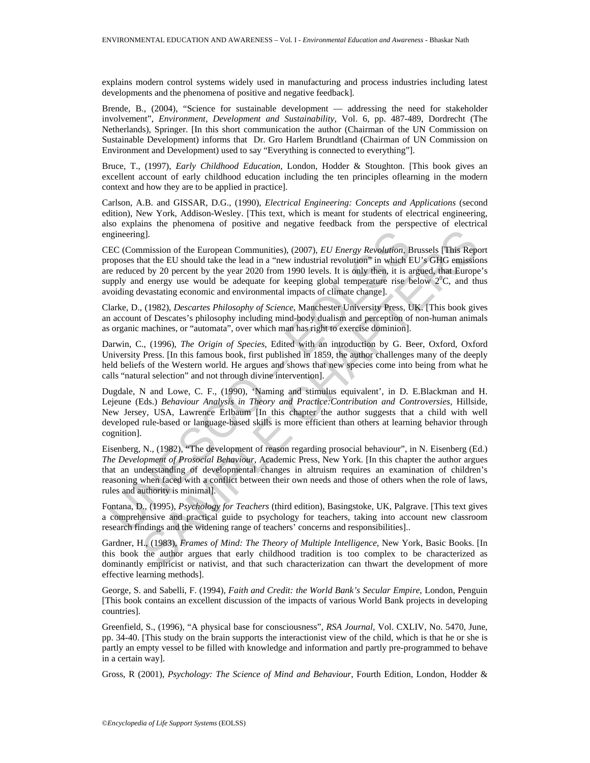explains modern control systems widely used in manufacturing and process industries including latest developments and the phenomena of positive and negative feedback].

Brende, B., (2004), "Science for sustainable development — addressing the need for stakeholder involvement", *Environment, Development and Sustainability*, Vol. 6, pp. 487-489, Dordrecht (The Netherlands), Springer. [In this short communication the author (Chairman of the UN Commission on Sustainable Development) informs that Dr. Gro Harlem Brundtland (Chairman of UN Commission on Environment and Development) used to say "Everything is connected to everything"].

Bruce, T., (1997), *Early Childhood Education*, London, Hodder & Stoughton. [This book gives an excellent account of early childhood education including the ten principles oflearning in the modern context and how they are to be applied in practice].

Carlson, A.B. and GISSAR, D.G., (1990), *Electrical Engineering: Concepts and Applications* (second edition), New York, Addison-Wesley. [This text, which is meant for students of electrical engineering, also explains the phenomena of positive and negative feedback from the perspective of electrical engineering].

CEC (Commission of the European Communities), (2007), *EU Energy Revolution*, Brussels [This Report proposes that the EU should take the lead in a "new industrial revolution" in which EU's GHG emissions are reduced by 20 percent by the year 2020 from 1990 levels. It is only then, it is argued, that Europe's supply and energy use would be adequate for keeping global temperature rise below  $2^{0}C$ , and thus avoiding devastating economic and environmental impacts of climate change].

Clarke, D., (1982), *Descartes Philosophy of Science*, Manchester University Press, UK. [This book gives an account of Descates's philosophy including mind-body dualism and perception of non-human animals as organic machines, or "automata", over which man has right to exercise dominion].

Darwin, C., (1996), *The Origin of Species*, Edited with an introduction by G. Beer, Oxford, Oxford University Press. [In this famous book, first published in 1859, the author challenges many of the deeply held beliefs of the Western world. He argues and shows that new species come into being from what he calls "natural selection" and not through divine intervention].

gineering].<br>EC (Commission of the European Communities), (2007), *EU Energy Revolution*. BC<br>reposes that the EU should take the lead in a "new industrial revolution" in which Poposes that the EU should take the lead in a " g].<br>
g].<br>
g]. Sincon of the European Communities), (2007), *EU Energy Revolution*, Brussels [This Reportant the EU should take the lead in a "new industrial revolution" in which EU's GHG emission by 20 percent by the year Dugdale, N and Lowe, C. F., (1990), 'Naming and stimulus equivalent', in D. E.Blackman and H. Lejeune (Eds.) *Behaviour Analysis in Theory and Practice:Contribution and Controversies*, Hillside, New Jersey, USA, Lawrence Erlbaum [In this chapter the author suggests that a child with well developed rule-based or language-based skills is more efficient than others at learning behavior through cognition].

Eisenberg, N., (1982), "The development of reason regarding prosocial behaviour", in N. Eisenberg (Ed.) *The Development of Prosocial Behaviour*, Academic Press, New York. [In this chapter the author argues that an understanding of developmental changes in altruism requires an examination of children's reasoning when faced with a conflict between their own needs and those of others when the role of laws, rules and authority is minimal].

Fontana, D., (1995), *Psychology for Teachers* (third edition), Basingstoke, UK, Palgrave. [This text gives a comprehensive and practical guide to psychology for teachers, taking into account new classroom research findings and the widening range of teachers' concerns and responsibilities]..

Gardner, H., (1983), *Frames of Mind: The Theory of Multiple Intelligence*, New York, Basic Books. [In this book the author argues that early childhood tradition is too complex to be characterized as dominantly empiricist or nativist, and that such characterization can thwart the development of more effective learning methods].

George, S. and Sabelli, F. (1994), *Faith and Credit: the World Bank's Secular Empire*, London, Penguin [This book contains an excellent discussion of the impacts of various World Bank projects in developing countries].

Greenfield, S., (1996), "A physical base for consciousness", *RSA Journal*, Vol. CXLIV, No. 5470, June, pp. 34-40. [This study on the brain supports the interactionist view of the child, which is that he or she is partly an empty vessel to be filled with knowledge and information and partly pre-programmed to behave in a certain way].

Gross, R (2001), *Psychology: The Science of Mind and Behaviour*, Fourth Edition, London, Hodder &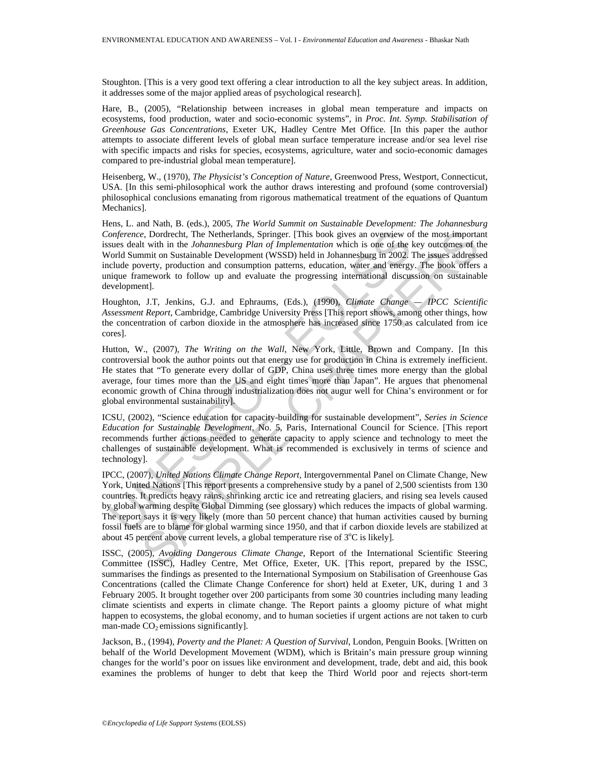Stoughton. [This is a very good text offering a clear introduction to all the key subject areas. In addition, it addresses some of the major applied areas of psychological research].

Hare, B., (2005), "Relationship between increases in global mean temperature and impacts on ecosystems, food production, water and socio-economic systems", in *Proc. Int. Symp. Stabilisation of Greenhouse Gas Concentrations*, Exeter UK, Hadley Centre Met Office. [In this paper the author attempts to associate different levels of global mean surface temperature increase and/or sea level rise with specific impacts and risks for species, ecosystems, agriculture, water and socio-economic damages compared to pre-industrial global mean temperature].

Heisenberg, W., (1970), *The Physicist's Conception of Nature*, Greenwood Press, Westport, Connecticut, USA. [In this semi-philosophical work the author draws interesting and profound (some controversial) philosophical conclusions emanating from rigorous mathematical treatment of the equations of Quantum Mechanics].

Hens, L. and Nath, B. (eds.), 2005, *The World Summit on Sustainable Development: The Johannesburg Conference*, Dordrecht, The Netherlands, Springer. [This book gives an overview of the most important issues dealt with in the *Johannesburg Plan of Implementation* which is one of the key outcomes of the World Summit on Sustainable Development (WSSD) held in Johannesburg in 2002. The issues addressed include poverty, production and consumption patterns, education, water and energy. The book offers a unique framework to follow up and evaluate the progressing international discussion on sustainable development].

Houghton, J.T, Jenkins, G.J. and Ephraums, (Eds.), (1990), *Climate Change — IPCC Scientific Assessment Report*, Cambridge, Cambridge University Press [This report shows, among other things, how the concentration of carbon dioxide in the atmosphere has increased since 1750 as calculated from ice cores].

Hutton, W., (2007), *The Writing on the Wall*, New York, Little, Brown and Company. [In this controversial book the author points out that energy use for production in China is extremely inefficient. He states that "To generate every dollar of GDP, China uses three times more energy than the global average, four times more than the US and eight times more than Japan". He argues that phenomenal economic growth of China through industrialization does not augur well for China's environment or for global environmental sustainability].

ICSU, (2002), "Science education for capacity-building for sustainable development", *Series in Science Education for Sustainable Development,* No. 5, Paris, International Council for Science. [This report recommends further actions needed to generate capacity to apply science and technology to meet the challenges of sustainable development. What is recommended is exclusively in terms of science and technology].

onference, Dordrecht, The Netherlands, Springer. [This book gives an overview of the Summars durat with in the Johannesburg Plane of Implementation which is one of the discussion of the Summit on Sustainable Development (W e, Dordrecht, The Netherlands, Springer. [This book gives an overview of the most importate with in the *Johanneshurg Plan of Implementation* which is one of the key outcomes of the streament importation which is one of t IPCC, (2007), *United Nations Climate Change Report,* Intergovernmental Panel on Climate Change, New York, United Nations [This report presents a comprehensive study by a panel of 2,500 scientists from 130 countries. It predicts heavy rains, shrinking arctic ice and retreating glaciers, and rising sea levels caused by global warming despite Global Dimming (see glossary) which reduces the impacts of global warming. The report says it is very likely (more than 50 percent chance) that human activities caused by burning fossil fuels are to blame for global warming since 1950, and that if carbon dioxide levels are stabilized at about 45 percent above current levels, a global temperature rise of  $3^{\circ}$ C is likely].

ISSC, (2005), *Avoiding Dangerous Climate Change*, Report of the International Scientific Steering Committee (ISSC), Hadley Centre, Met Office, Exeter, UK. [This report, prepared by the ISSC, summarises the findings as presented to the International Symposium on Stabilisation of Greenhouse Gas Concentrations (called the Climate Change Conference for short) held at Exeter, UK, during 1 and 3 February 2005. It brought together over 200 participants from some 30 countries including many leading climate scientists and experts in climate change. The Report paints a gloomy picture of what might happen to ecosystems, the global economy, and to human societies if urgent actions are not taken to curb man-made  $CO<sub>2</sub>$  emissions significantly].

Jackson, B., (1994), *Poverty and the Planet: A Question of Survival*, London, Penguin Books. [Written on behalf of the World Development Movement (WDM), which is Britain's main pressure group winning changes for the world's poor on issues like environment and development, trade, debt and aid, this book examines the problems of hunger to debt that keep the Third World poor and rejects short-term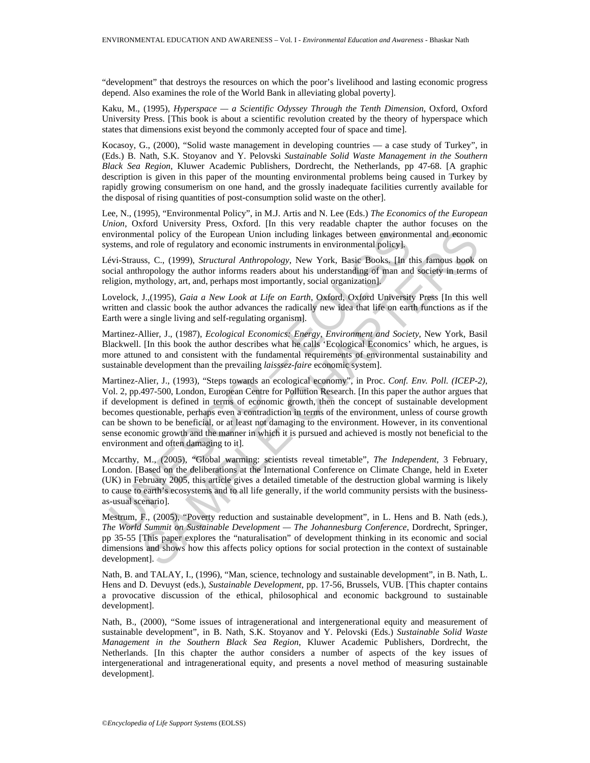"development" that destroys the resources on which the poor's livelihood and lasting economic progress depend. Also examines the role of the World Bank in alleviating global poverty].

Kaku, M., (1995), *Hyperspace — a Scientific Odyssey Through the Tenth Dimension*, Oxford, Oxford University Press. [This book is about a scientific revolution created by the theory of hyperspace which states that dimensions exist beyond the commonly accepted four of space and time].

Kocasoy, G., (2000), "Solid waste management in developing countries — a case study of Turkey", in (Eds.) B. Nath, S.K. Stoyanov and Y. Pelovski *Sustainable Solid Waste Management in the Southern Black Sea Region*, Kluwer Academic Publishers, Dordrecht, the Netherlands, pp 47-68. [A graphic description is given in this paper of the mounting environmental problems being caused in Turkey by rapidly growing consumerism on one hand, and the grossly inadequate facilities currently available for the disposal of rising quantities of post-consumption solid waste on the other].

Lee, N., (1995), "Environmental Policy", in M.J. Artis and N. Lee (Eds.) *The Economics of the European Union*, Oxford University Press, Oxford. [In this very readable chapter the author focuses on the environmental policy of the European Union including linkages between environmental and economic systems, and role of regulatory and economic instruments in environmental policy].

Lévi-Strauss, C., (1999), *Structural Anthropology*, New York, Basic Books. [In this famous book on social anthropology the author informs readers about his understanding of man and society in terms of religion, mythology, art, and, perhaps most importantly, social organization].

Lovelock, J.,(1995), *Gaia a New Look at Life on Earth,* Oxford, Oxford University Press [In this well written and classic book the author advances the radically new idea that life on earth functions as if the Earth were a single living and self-regulating organism].

Martinez-Allier, J., (1987), *Ecological Economics: Energy, Environment and Society*, New York, Basil Blackwell. [In this book the author describes what he calls 'Ecological Economics' which, he argues, is more attuned to and consistent with the fundamental requirements of environmental sustainability and sustainable development than the prevailing *laisssez-faire* economic system].

nvironmental policy of the European Union including linkages between environm<br>stems, and role of regulatory and economic instruments in environmental policy],<br>evi-Strusaus, C., (1999), *Structural Anthropology*, New York, ntal policy of the European Union including linkages between environmental and econom<br>and rote of regulatory and economic instruments in environmental policy<br>ss. C., (1999). *Structural Anthropology*, New York, Basic Book Martinez-Alier, J., (1993), "Steps towards an ecological economy", in Proc. *Conf. Env. Poll. (ICEP-2)*, Vol. 2, pp.497-500, London, European Centre for Pollution Research. [In this paper the author argues that if development is defined in terms of economic growth, then the concept of sustainable development becomes questionable, perhaps even a contradiction in terms of the environment, unless of course growth can be shown to be beneficial, or at least not damaging to the environment. However, in its conventional sense economic growth and the manner in which it is pursued and achieved is mostly not beneficial to the environment and often damaging to it].

Mccarthy, M., (2005), "Global warming: scientists reveal timetable", *The Independent*, 3 February, London. [Based on the deliberations at the International Conference on Climate Change, held in Exeter (UK) in February 2005, this article gives a detailed timetable of the destruction global warming is likely to cause to earth's ecosystems and to all life generally, if the world community persists with the businessas-usual scenario].

Mestrum, F., (2005), "Poverty reduction and sustainable development", in L. Hens and B. Nath (eds.), *The World Summit on Sustainable Development — The Johannesburg Conference*, Dordrecht, Springer, pp 35-55 [This paper explores the "naturalisation" of development thinking in its economic and social dimensions and shows how this affects policy options for social protection in the context of sustainable development].

Nath, B. and TALAY, I., (1996), "Man, science, technology and sustainable development", in B. Nath, L. Hens and D. Devuyst (eds.), *Sustainable Development*, pp. 17-56, Brussels, VUB. [This chapter contains a provocative discussion of the ethical, philosophical and economic background to sustainable development].

Nath, B., (2000), "Some issues of intragenerational and intergenerational equity and measurement of sustainable development", in B. Nath, S.K. Stoyanov and Y. Pelovski (Eds.) *Sustainable Solid Waste Management in the Southern Black Sea Region*, Kluwer Academic Publishers, Dordrecht, the Netherlands. [In this chapter the author considers a number of aspects of the key issues of intergenerational and intragenerational equity, and presents a novel method of measuring sustainable development].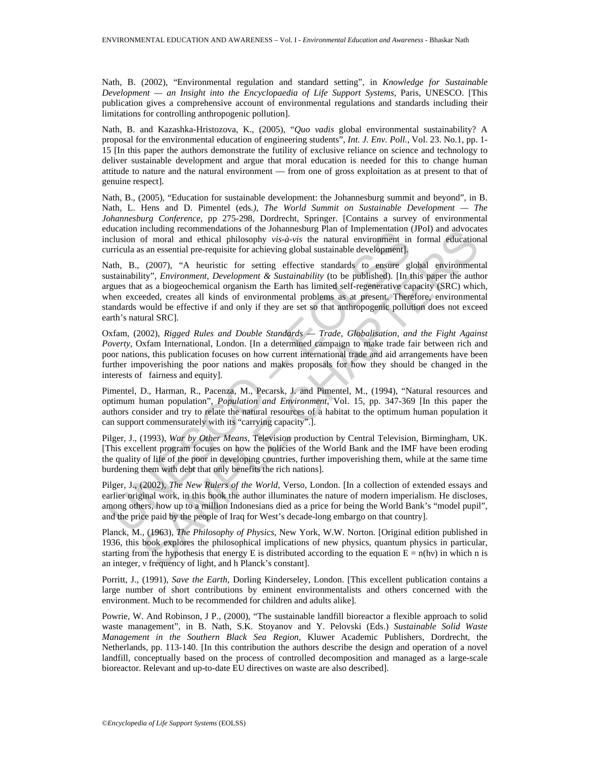Nath, B. (2002), "Environmental regulation and standard setting", in *Knowledge for Sustainable Development — an Insight into the Encyclopaedia of Life Support Systems,* Paris, UNESCO. [This publication gives a comprehensive account of environmental regulations and standards including their limitations for controlling anthropogenic pollution].

Nath, B. and Kazashka-Hristozova, K., (2005), "*Quo vadis* global environmental sustainability? A proposal for the environmental education of engineering students", *Int. J. Env. Poll.,* Vol. 23. No.1, pp. 1- 15 [In this paper the authors demonstrate the futility of exclusive reliance on science and technology to deliver sustainable development and argue that moral education is needed for this to change human attitude to nature and the natural environment — from one of gross exploitation as at present to that of genuine respect].

Nath, B., (2005), "Education for sustainable development: the Johannesburg summit and beyond", in B. Nath, L. Hens and D. Pimentel (eds*.), The World Summit on Sustainable Development — The Johannesburg Conference,* pp 275-298, Dordrecht, Springer. [Contains a survey of environmental education including recommendations of the Johannesburg Plan of Implementation (JPoI) and advocates inclusion of moral and ethical philosophy *vis-à-vis* the natural environment in formal educational curricula as an essential pre-requisite for achieving global sustainable development].

including recomminantations or the solarineshing rain of mipelinetation<br>(clusion of moral and ethical philosophy vis-a-vis-a-minimality (to be published evelopment).<br>
ath, B., (2007), "A heuristic for setting global sustai including recommenduations of the Jonannesourg Pian of implementation (JP61) and acovecation<br>of moral and ethical philosophy *vis-à-vis* the natural environment in formal adicocation<br>s an essential pre-requisite for achie Nath, B., (2007), "A heuristic for setting effective standards to ensure global environmental sustainability", *Environment, Development & Sustainability* (to be published). [In this paper the author argues that as a biogeochemical organism the Earth has limited self-regenerative capacity (SRC) which, when exceeded, creates all kinds of environmental problems as at present. Therefore, environmental standards would be effective if and only if they are set so that anthropogenic pollution does not exceed earth's natural SRC].

Oxfam, (2002), *Rigged Rules and Double Standards — Trade, Globalisation, and the Fight Against Poverty*, Oxfam International, London. [In a determined campaign to make trade fair between rich and poor nations, this publication focuses on how current international trade and aid arrangements have been further impoverishing the poor nations and makes proposals for how they should be changed in the interests of fairness and equity].

Pimentel, D., Harman, R., Pacenza, M., Pecarsk, J. and Pimentel, M., (1994), "Natural resources and optimum human population", *Population and Environment*, Vol. 15, pp. 347-369 [In this paper the authors consider and try to relate the natural resources of a habitat to the optimum human population it can support commensurately with its "carrying capacity".].

Pilger, J., (1993), *War by Other Means,* Television production by Central Television, Birmingham, UK. [This excellent program focuses on how the policies of the World Bank and the IMF have been eroding the quality of life of the poor in developing countries, further impoverishing them, while at the same time burdening them with debt that only benefits the rich nations].

Pilger, J., (2002), *The New Rulers of the World*, Verso, London. [In a collection of extended essays and earlier original work, in this book the author illuminates the nature of modern imperialism. He discloses, among others, how up to a million Indonesians died as a price for being the World Bank's "model pupil", and the price paid by the people of Iraq for West's decade-long embargo on that country].

Planck, M., (1963), *The Philosophy of Physics*, New York, W.W. Norton. [Original edition published in 1936, this book explores the philosophical implications of new physics, quantum physics in particular, starting from the hypothesis that energy E is distributed according to the equation  $E = n(hv)$  in which n is an integer, ν frequency of light, and h Planck's constant].

Porritt, J., (1991), *Save the Earth*, Dorling Kinderseley, London. [This excellent publication contains a large number of short contributions by eminent environmentalists and others concerned with the environment. Much to be recommended for children and adults alike].

Powrie, W. And Robinson, J P., (2000), "The sustainable landfill bioreactor a flexible approach to solid waste management", in B. Nath, S.K. Stoyanov and Y. Pelovski (Eds.) *Sustainable Solid Waste Management in the Southern Black Sea Region*, Kluwer Academic Publishers, Dordrecht, the Netherlands, pp. 113-140. [In this contribution the authors describe the design and operation of a novel landfill, conceptually based on the process of controlled decomposition and managed as a large-scale bioreactor. Relevant and up-to-date EU directives on waste are also described].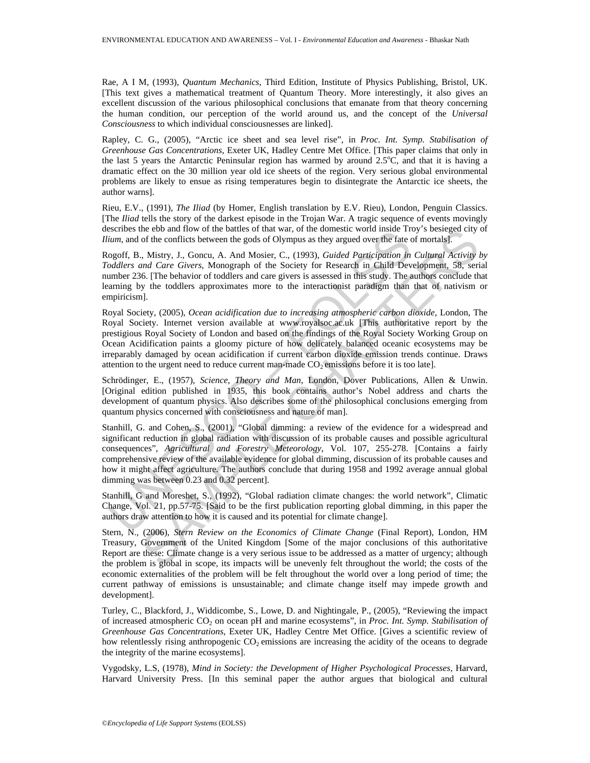Rae, A I M, (1993), *Quantum Mechanics*, Third Edition, Institute of Physics Publishing, Bristol, UK. [This text gives a mathematical treatment of Quantum Theory. More interestingly, it also gives an excellent discussion of the various philosophical conclusions that emanate from that theory concerning the human condition, our perception of the world around us, and the concept of the *Universal Consciousness* to which individual consciousnesses are linked].

Rapley, C. G., (2005), "Arctic ice sheet and sea level rise", in *Proc. Int. Symp. Stabilisation of Greenhouse Gas Concentrations*, Exeter UK, Hadley Centre Met Office. [This paper claims that only in the last 5 years the Antarctic Peninsular region has warmed by around  $2.5^{\circ}$ C, and that it is having a dramatic effect on the 30 million year old ice sheets of the region. Very serious global environmental problems are likely to ensue as rising temperatures begin to disintegrate the Antarctic ice sheets, the author warns].

Rieu, E.V., (1991), *The Iliad* (by Homer, English translation by E.V. Rieu), London, Penguin Classics. [The *Iliad* tells the story of the darkest episode in the Trojan War. A tragic sequence of events movingly describes the ebb and flow of the battles of that war, of the domestic world inside Troy's besieged city of *Ilium*, and of the conflicts between the gods of Olympus as they argued over the fate of mortals].

Rogoff, B., Mistry, J., Goncu, A. And Mosier, C., (1993), *Guided Participation in Cultural Activity by Toddlers and Care Givers*, Monograph of the Society for Research in Child Development, 58, serial number 236. [The behavior of toddlers and care givers is assessed in this study. The authors conclude that learning by the toddlers approximates more to the interactionist paradigm than that of nativism or empiricism].

Essayers are eo and now or unclustes or una war, on uncluster start<br>and name of the conflicts between the gods of Olympus as they argued over the fate cogoff, B., Mistry, J., Goncu, A. And Mosier, C., (1993), *Guided Parti* ne ob and now of the olatiles of that was, of the connectic word inside troy sestege city<br>of the conflicts between the gods of Olympus as they argued over the fate of mortals.<br>
Alistry, J., Goncu, A. And Mosier, C., (1993 Royal Society, (2005), *Ocean acidification due to increasing atmospheric carbon dioxide*, London, The Royal Society. Internet version available at www.royalsoc.ac.uk [This authoritative report by the prestigious Royal Society of London and based on the findings of the Royal Society Working Group on Ocean Acidification paints a gloomy picture of how delicately balanced oceanic ecosystems may be irreparably damaged by ocean acidification if current carbon dioxide emission trends continue. Draws attention to the urgent need to reduce current man-made  $CO<sub>2</sub>$  emissions before it is too late].

Schrödinger, E., (1957), *Science, Theory and Man*, London, Dover Publications, Allen & Unwin. [Original edition published in 1935, this book contains author's Nobel address and charts the development of quantum physics. Also describes some of the philosophical conclusions emerging from quantum physics concerned with consciousness and nature of man].

Stanhill, G. and Cohen, S., (2001), "Global dimming: a review of the evidence for a widespread and significant reduction in global radiation with discussion of its probable causes and possible agricultural consequences", *Agricultural and Forestry Meteorology*, Vol. 107, 255-278. [Contains a fairly comprehensive review of the available evidence for global dimming, discussion of its probable causes and how it might affect agriculture. The authors conclude that during 1958 and 1992 average annual global dimming was between 0.23 and 0.32 percent].

Stanhill, G and Moreshet, S., (1992), "Global radiation climate changes: the world network", Climatic Change, Vol. 21, pp.57-75. [Said to be the first publication reporting global dimming, in this paper the authors draw attention to how it is caused and its potential for climate change].

Stern, N., (2006), *Stern Review on the Economics of Climate Change* (Final Report), London, HM Treasury, Government of the United Kingdom [Some of the major conclusions of this authoritative Report are these: Climate change is a very serious issue to be addressed as a matter of urgency; although the problem is global in scope, its impacts will be unevenly felt throughout the world; the costs of the economic externalities of the problem will be felt throughout the world over a long period of time; the current pathway of emissions is unsustainable; and climate change itself may impede growth and development].

Turley, C., Blackford, J., Widdicombe, S., Lowe, D. and Nightingale, P., (2005), "Reviewing the impact of increased atmospheric CO2 on ocean pH and marine ecosystems", in *Proc. Int. Symp. Stabilisation of Greenhouse Gas Concentrations*, Exeter UK, Hadley Centre Met Office. [Gives a scientific review of how relentlessly rising anthropogenic  $CO<sub>2</sub>$  emissions are increasing the acidity of the oceans to degrade the integrity of the marine ecosystems].

Vygodsky, L.S, (1978), *Mind in Society: the Development of Higher Psychological Processes,* Harvard, Harvard University Press. [In this seminal paper the author argues that biological and cultural